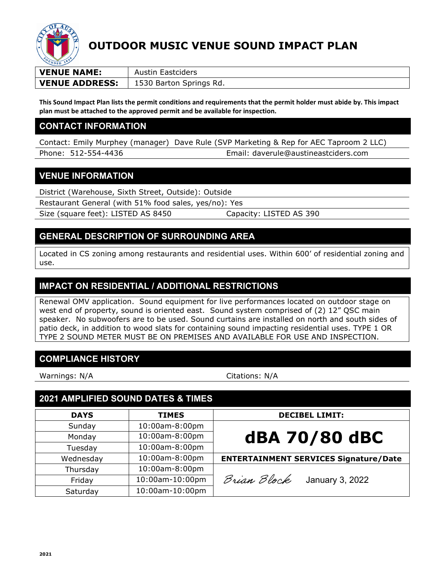

## **OUTDOOR MUSIC VENUE SOUND IMPACT PLAN**

| <b>VENUE NAME:</b>    | Austin Eastciders       |  |
|-----------------------|-------------------------|--|
| <b>VENUE ADDRESS:</b> | 1530 Barton Springs Rd. |  |

**This Sound Impact Plan lists the permit conditions and requirements that the permit holder must abide by. This impact plan must be attached to the approved permit and be available for inspection.**

#### **CONTACT INFORMATION**

Contact: Emily Murphey (manager) Dave Rule (SVP Marketing & Rep for AEC Taproom 2 LLC) Phone: 512-554-4436 Email: daverule@austineastciders.com

### **VENUE INFORMATION**

District (Warehouse, Sixth Street, Outside): Outside

Restaurant General (with 51% food sales, yes/no): Yes

Size (square feet): LISTED AS 8450 Capacity: LISTED AS 390

### **GENERAL DESCRIPTION OF SURROUNDING AREA**

Located in CS zoning among restaurants and residential uses. Within 600' of residential zoning and use.

### **IMPACT ON RESIDENTIAL / ADDITIONAL RESTRICTIONS**

Renewal OMV application. Sound equipment for live performances located on outdoor stage on west end of property, sound is oriented east. Sound system comprised of (2) 12" QSC main speaker. No subwoofers are to be used. Sound curtains are installed on north and south sides of patio deck, in addition to wood slats for containing sound impacting residential uses. TYPE 1 OR TYPE 2 SOUND METER MUST BE ON PREMISES AND AVAILABLE FOR USE AND INSPECTION.

### **COMPLIANCE HISTORY**

Warnings: N/A Citations: N/A

### **2021 AMPLIFIED SOUND DATES & TIMES DAYS TIMES DECIBEL LIMIT:** Sunday 10:00am-8:00pm

| Sunday    | 10:00am-8:00pm  | dBA 70/80 dBC                                |
|-----------|-----------------|----------------------------------------------|
| Monday    | 10:00am-8:00pm  |                                              |
| Tuesday   | 10:00am-8:00pm  |                                              |
| Wednesday | 10:00am-8:00pm  | <b>ENTERTAINMENT SERVICES Signature/Date</b> |
| Thursday  | 10:00am-8:00pm  |                                              |
| Friday    | 10:00am-10:00pm | Brian Block<br>January 3, 2022               |
| Saturday  | 10:00am-10:00pm |                                              |